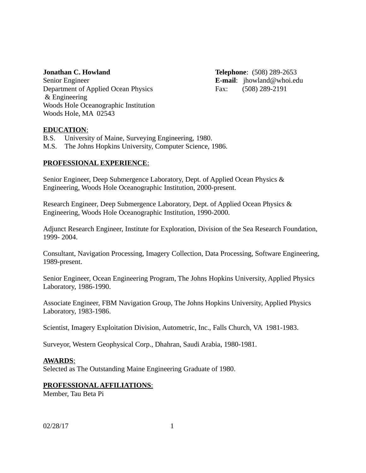Senior Engineer **E-mail**: jhowland@whoi.edu Department of Applied Ocean Physics Fax: (508) 289-2191 & Engineering Woods Hole Oceanographic Institution Woods Hole, MA 02543

**Jonathan C. Howland Telephone**: (508) 289-2653

# **EDUCATION**:

B.S. University of Maine, Surveying Engineering, 1980.

M.S. The Johns Hopkins University, Computer Science, 1986.

# **PROFESSIONAL EXPERIENCE**:

Senior Engineer, Deep Submergence Laboratory, Dept. of Applied Ocean Physics & Engineering, Woods Hole Oceanographic Institution, 2000-present.

Research Engineer, Deep Submergence Laboratory, Dept. of Applied Ocean Physics & Engineering, Woods Hole Oceanographic Institution, 1990-2000.

Adjunct Research Engineer, Institute for Exploration, Division of the Sea Research Foundation, 1999- 2004.

Consultant, Navigation Processing, Imagery Collection, Data Processing, Software Engineering, 1989-present.

Senior Engineer, Ocean Engineering Program, The Johns Hopkins University, Applied Physics Laboratory, 1986-1990.

Associate Engineer, FBM Navigation Group, The Johns Hopkins University, Applied Physics Laboratory, 1983-1986.

Scientist, Imagery Exploitation Division, Autometric, Inc., Falls Church, VA 1981-1983.

Surveyor, Western Geophysical Corp., Dhahran, Saudi Arabia, 1980-1981.

## **AWARDS**:

Selected as The Outstanding Maine Engineering Graduate of 1980.

## **PROFESSIONAL AFFILIATIONS**:

Member, Tau Beta Pi

02/28/17 1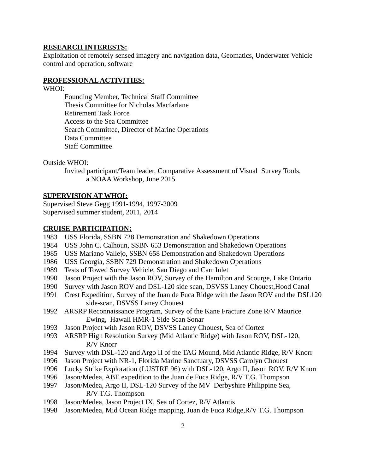#### **RESEARCH INTERESTS:**

Exploitation of remotely sensed imagery and navigation data, Geomatics, Underwater Vehicle control and operation, software

## **PROFESSIONAL ACTIVITIES:**

WHOI:

Founding Member, Technical Staff Committee Thesis Committee for Nicholas Macfarlane Retirement Task Force Access to the Sea Committee Search Committee, Director of Marine Operations Data Committee Staff Committee

Outside WHOI:

Invited participant/Team leader, Comparative Assessment of Visual Survey Tools, a NOAA Workshop, June 2015

#### **SUPERVISION AT WHOI:**

Supervised Steve Gegg 1991-1994, 1997-2009 Supervised summer student, 2011, 2014

#### **CRUISE PARTICIPATION:**

- 1983 USS Florida, SSBN 728 Demonstration and Shakedown Operations
- 1984 USS John C. Calhoun, SSBN 653 Demonstration and Shakedown Operations
- 1985 USS Mariano Vallejo, SSBN 658 Demonstration and Shakedown Operations
- 1986 USS Georgia, SSBN 729 Demonstration and Shakedown Operations
- 1989 Tests of Towed Survey Vehicle, San Diego and Carr Inlet
- 1990 Jason Project with the Jason ROV, Survey of the Hamilton and Scourge, Lake Ontario
- 1990 Survey with Jason ROV and DSL-120 side scan, DSVSS Laney Chouest,Hood Canal
- 1991 Crest Expedition, Survey of the Juan de Fuca Ridge with the Jason ROV and the DSL120 side-scan, DSVSS Laney Chouest
- 1992 ARSRP Reconnaissance Program, Survey of the Kane Fracture Zone R/V Maurice Ewing, Hawaii HMR-1 Side Scan Sonar
- 1993 Jason Project with Jason ROV, DSVSS Laney Chouest, Sea of Cortez
- 1993 ARSRP High Resolution Survey (Mid Atlantic Ridge) with Jason ROV, DSL-120, R/V Knorr
- 1994 Survey with DSL-120 and Argo II of the TAG Mound, Mid Atlantic Ridge, R/V Knorr
- 1996 Jason Project with NR-1, Florida Marine Sanctuary, DSVSS Carolyn Chouest
- 1996 Lucky Strike Exploration (LUSTRE 96) with DSL-120, Argo II, Jason ROV, R/V Knorr
- 1996 Jason/Medea, ABE expedition to the Juan de Fuca Ridge, R/V T.G. Thompson
- 1997 Jason/Medea, Argo II, DSL-120 Survey of the MV Derbyshire Philippine Sea, R/V T.G. Thompson
- 1998 Jason/Medea, Jason Project IX, Sea of Cortez, R/V Atlantis
- 1998 Jason/Medea, Mid Ocean Ridge mapping, Juan de Fuca Ridge,R/V T.G. Thompson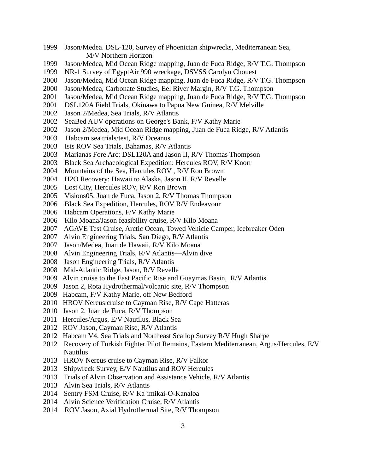- 1999 Jason/Medea. DSL-120, Survey of Phoenician shipwrecks, Mediterranean Sea, M/V Northern Horizon
- 1999 Jason/Medea, Mid Ocean Ridge mapping, Juan de Fuca Ridge, R/V T.G. Thompson
- 1999 NR-1 Survey of EgyptAir 990 wreckage, DSVSS Carolyn Chouest
- 2000 Jason/Medea, Mid Ocean Ridge mapping, Juan de Fuca Ridge, R/V T.G. Thompson
- 2000 Jason/Medea, Carbonate Studies, Eel River Margin, R/V T.G. Thompson
- 2001 Jason/Medea, Mid Ocean Ridge mapping, Juan de Fuca Ridge, R/V T.G. Thompson
- 2001 DSL120A Field Trials, Okinawa to Papua New Guinea, R/V Melville
- 2002 Jason 2/Medea, Sea Trials, R/V Atlantis
- 2002 SeaBed AUV operations on George's Bank, F/V Kathy Marie
- 2002 Jason 2/Medea, Mid Ocean Ridge mapping, Juan de Fuca Ridge, R/V Atlantis
- 2003 Habcam sea trials/test, R/V Oceanus
- 2003 Isis ROV Sea Trials, Bahamas, R/V Atlantis
- 2003 Marianas Fore Arc: DSL120A and Jason II, R/V Thomas Thompson
- 2003 Black Sea Archaeological Expedition: Hercules ROV, R/V Knorr
- 2004 Mountains of the Sea, Hercules ROV , R/V Ron Brown
- 2004 H2O Recovery: Hawaii to Alaska, Jason II, R/V Revelle
- 2005 Lost City, Hercules ROV, R/V Ron Brown
- 2005 Visions05, Juan de Fuca, Jason 2, R/V Thomas Thompson
- 2006 Black Sea Expedition, Hercules, ROV R/V Endeavour
- 2006 Habcam Operations, F/V Kathy Marie
- 2006 Kilo Moana/Jason feasibility cruise, R/V Kilo Moana
- 2007 AGAVE Test Cruise, Arctic Ocean, Towed Vehicle Camper, Icebreaker Oden
- 2007 Alvin Engineering Trials, San Diego, R/V Atlantis
- 2007 Jason/Medea, Juan de Hawaii, R/V Kilo Moana
- 2008 Alvin Engineering Trials, R/V Atlantis—Alvin dive
- 2008 Jason Engineering Trials, R/V Atlantis
- 2008 Mid-Atlantic Ridge, Jason, R/V Revelle
- 2009 Alvin cruise to the East Pacific Rise and Guaymas Basin, R/V Atlantis
- 2009 Jason 2, Rota Hydrothermal/volcanic site, R/V Thompson
- 2009 Habcam, F/V Kathy Marie, off New Bedford
- 2010 HROV Nereus cruise to Cayman Rise, R/V Cape Hatteras
- 2010 Jason 2, Juan de Fuca, R/V Thompson
- 2011 Hercules/Argus, E/V Nautilus, Black Sea
- 2012 ROV Jason, Cayman Rise, R/V Atlantis
- 2012 Habcam V4, Sea Trials and Northeast Scallop Survey R/V Hugh Sharpe
- 2012 Recovery of Turkish Fighter Pilot Remains, Eastern Mediterranean, Argus/Hercules, E/V Nautilus
- 2013 HROV Nereus cruise to Cayman Rise, R/V Falkor
- 2013 Shipwreck Survey, E/V Nautilus and ROV Hercules
- 2013 Trials of Alvin Observation and Assistance Vehicle, R/V Atlantis
- 2013 Alvin Sea Trials, R/V Atlantis
- 2014 Sentry FSM Cruise, R/V Ka`imikai-O-Kanaloa
- 2014 Alvin Science Verification Cruise, R/V Atlantis
- 2014 ROV Jason, Axial Hydrothermal Site, R/V Thompson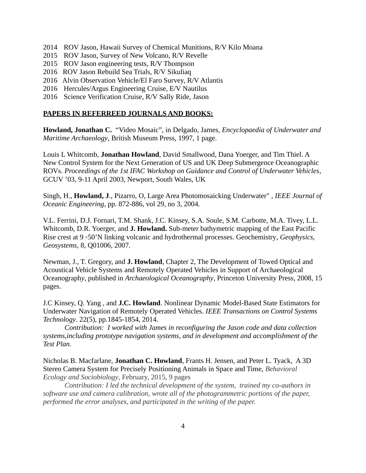- 2014 ROV Jason, Hawaii Survey of Chemical Munitions, R/V Kilo Moana
- 2015 ROV Jason, Survey of New Volcano, R/V Revelle
- 2015 ROV Jason engineering tests, R/V Thompson
- 2016 ROV Jason Rebuild Sea Trials, R/V Sikuliaq
- 2016 Alvin Observation Vehicle/El Faro Survey, R/V Atlantis
- 2016 Hercules/Argus Engineering Cruise, E/V Nautilus
- 2016 Science Verification Cruise, R/V Sally Ride, Jason

#### **PAPERS IN REFERREED JOURNALS AND BOOKS:**

**Howland, Jonathan C.** "Video Mosaic", in Delgado, James, *Encyclopaedia of Underwater and Maritime Archaeology*, British Museum Press, 1997, 1 page.

Louis L Whitcomb, **Jonathan Howland**, David Smallwood, Dana Yoerger, and Tim Thiel. A New Control System for the Next Generation of US and UK Deep Submergence Oceanographic ROVs. *Proceedings of the 1st IFAC Workshop on Guidance and Control of Underwater Vehicles*, GCUV '03, 9-11 April 2003, Newport, South Wales, UK

Singh, H., **Howland, J**., Pizarro, O, Large Area Photomosaicking Underwater" , *IEEE Journal of Oceanic Engineering*, pp. 872-886, vol 29, no 3, 2004.

V.L. Ferrini, D.J. Fornari, T.M. Shank, J.C. Kinsey, S.A. Soule, S.M. Carbotte, M.A. Tivey, L.L. Whitcomb, D.R. Yoerger, and **J. Howland.** Sub-meter bathymetric mapping of the East Pacific Rise crest at 9 ◦50'N linking volcanic and hydrothermal processes. Geochemistry*, Geophysics, Geosystems*, 8, Q01006, 2007.

Newman, J., T. Gregory, and **J. Howland**, Chapter 2, The Development of Towed Optical and Acoustical Vehicle Systems and Remotely Operated Vehicles in Support of Archaeological Oceanograph*y*, published in *Archaeological Oceanography*, Princeton University Press, 2008, 15 pages.

J.C Kinsey, Q. Yang , and **J.C. Howland**. Nonlinear Dynamic Model-Based State Estimators for Underwater Navigation of Remotely Operated Vehicles. *IEEE Transactions on Control Systems Technology*. 22(5), pp.1845-1854, 2014.

*Contribution: I worked with James in reconfiguring the Jason code and data collection systems,including prototype navigation systems, and in development and accomplishment of the Test Plan.*

Nicholas B. Macfarlane, **Jonathan C. Howland**, Frants H. Jensen, and Peter L. Tyack, A 3D Stereo Camera System for Precisely Positioning Animals in Space and Time, *Behavioral Ecology and Sociobiology*, February, 2015, 9 pages

*Contribution: I led the technical development of the system, trained my co-authors in software use and camera calibration, wrote all of the photogrammetric portions of the paper, performed the error analyses, and participated in the writing of the paper.*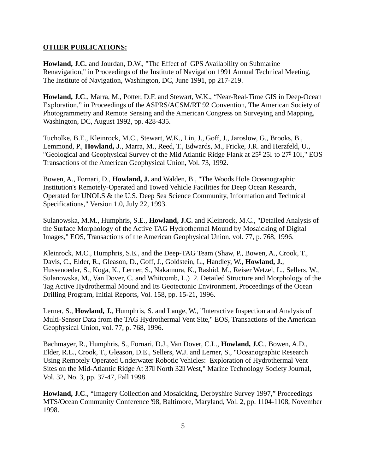## **OTHER PUBLICATIONS:**

**Howland, J.C.** and Jourdan, D.W., "The Effect of GPS Availability on Submarine Renavigation," in Proceedings of the Institute of Navigation 1991 Annual Technical Meeting, The Institute of Navigation, Washington, DC, June 1991, pp 217-219.

**Howland, J.C**., Marra, M., Potter, D.F. and Stewart, W.K., "Near-Real-Time GIS in Deep-Ocean Exploration," in Proceedings of the ASPRS/ACSM/RT 92 Convention, The American Society of Photogrammetry and Remote Sensing and the American Congress on Surveying and Mapping, Washington, DC, August 1992, pp. 428-435.

Tucholke, B.E., Kleinrock, M.C., Stewart, W.K., Lin, J., Goff, J., Jaroslow, G., Brooks, B., Lemmond, P., **Howland, J**., Marra, M., Reed, T., Edwards, M., Fricke, J.R. and Herzfeld, U., "Geological and Geophysical Survey of the Mid Atlantic Ridge Flank at 25<sup>°</sup> 25<sup>°</sup> 10<sup>°</sup> 10<sup>°</sup>. EOS Transactions of the American Geophysical Union, Vol. 73, 1992.

Bowen, A., Fornari, D., **Howland, J.** and Walden, B., "The Woods Hole Oceanographic Institution's Remotely-Operated and Towed Vehicle Facilities for Deep Ocean Research, Operated for UNOLS & the U.S. Deep Sea Science Community, Information and Technical Specifications," Version 1.0, July 22, 1993.

Sulanowska, M.M., Humphris, S.E., **Howland, J.C.** and Kleinrock, M.C., "Detailed Analysis of the Surface Morphology of the Active TAG Hydrothermal Mound by Mosaicking of Digital Images," EOS, Transactions of the American Geophysical Union, vol. 77, p. 768, 1996.

Kleinrock, M.C., Humphris, S.E., and the Deep-TAG Team (Shaw, P., Bowen, A., Crook, T., Davis, C., Elder, R., Gleason, D., Goff, J., Goldstein, L., Handley, W., **Howland, J.**, Hussenoeder, S., Koga, K., Lerner, S., Nakamura, K., Rashid, M., Reiser Wetzel, L., Sellers, W., Sulanowska, M., Van Dover, C. and Whitcomb, L.) 2. Detailed Structure and Morphology of the Tag Active Hydrothermal Mound and Its Geotectonic Environment, Proceedings of the Ocean Drilling Program, Initial Reports, Vol. 158, pp. 15-21, 1996.

Lerner, S., **Howland, J.**, Humphris, S. and Lange, W., "Interactive Inspection and Analysis of Multi-Sensor Data from the TAG Hydrothermal Vent Site," EOS, Transactions of the American Geophysical Union, vol. 77, p. 768, 1996.

Bachmayer, R., Humphris, S., Fornari, D.J., Van Dover, C.L., **Howland, J.C**., Bowen, A.D., Elder, R.L., Crook, T., Gleason, D.E., Sellers, W.J. and Lerner, S., "Oceanographic Research Using Remotely Operated Underwater Robotic Vehicles: Exploration of Hydrothermal Vent Sites on the Mid-Atlantic Ridge At 37 North 32 West," Marine Technology Society Journal, Vol. 32, No. 3, pp. 37-47, Fall 1998.

**Howland, J.C**., "Imagery Collection and Mosaicking, Derbyshire Survey 1997," Proceedings MTS/Ocean Community Conference '98, Baltimore, Maryland, Vol. 2, pp. 1104-1108, November 1998.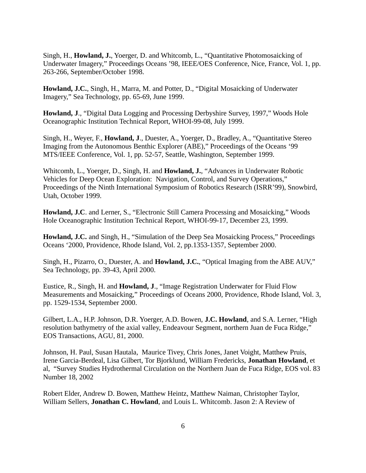Singh, H., **Howland, J.**, Yoerger, D. and Whitcomb, L., "Quantitative Photomosaicking of Underwater Imagery," Proceedings Oceans '98, IEEE/OES Conference, Nice, France, Vol. 1, pp. 263-266, September/October 1998.

**Howland, J.C.**, Singh, H., Marra, M. and Potter, D., "Digital Mosaicking of Underwater Imagery," Sea Technology, pp. 65-69, June 1999.

**Howland, J**., "Digital Data Logging and Processing Derbyshire Survey, 1997," Woods Hole Oceanographic Institution Technical Report, WHOI-99-08, July 1999.

Singh, H., Weyer, F., **Howland, J**., Duester, A., Yoerger, D., Bradley, A., "Quantitative Stereo Imaging from the Autonomous Benthic Explorer (ABE)," Proceedings of the Oceans '99 MTS/IEEE Conference, Vol. 1, pp. 52-57, Seattle, Washington, September 1999.

Whitcomb, L., Yoerger, D., Singh, H. and **Howland, J.**, "Advances in Underwater Robotic Vehicles for Deep Ocean Exploration: Navigation, Control, and Survey Operations," Proceedings of the Ninth International Symposium of Robotics Research (ISRR'99), Snowbird, Utah, October 1999.

**Howland, J.C**. and Lerner, S., "Electronic Still Camera Processing and Mosaicking," Woods Hole Oceanographic Institution Technical Report, WHOI-99-17, December 23, 1999.

**Howland, J.C.** and Singh, H., "Simulation of the Deep Sea Mosaicking Process," Proceedings Oceans '2000, Providence, Rhode Island, Vol. 2, pp.1353-1357, September 2000.

Singh, H., Pizarro, O., Duester, A. and **Howland, J.C.**, "Optical Imaging from the ABE AUV," Sea Technology, pp. 39-43, April 2000.

Eustice, R., Singh, H. and **Howland, J**., "Image Registration Underwater for Fluid Flow Measurements and Mosaicking," Proceedings of Oceans 2000, Providence, Rhode Island, Vol. 3, pp. 1529-1534, September 2000.

Gilbert, L.A., H.P. Johnson, D.R. Yoerger, A.D. Bowen, **J.C. Howland**, and S.A. Lerner, "High resolution bathymetry of the axial valley, Endeavour Segment, northern Juan de Fuca Ridge," EOS Transactions, AGU, 81, 2000.

Johnson, H. Paul, Susan Hautala, Maurice Tivey, Chris Jones, Janet Voight, Matthew Pruis, Irene Garcia-Berdeal, Lisa Gilbert, Tor Bjorklund, William Fredericks, **Jonathan Howland**, et al, "Survey Studies Hydrothermal Circulation on the Northern Juan de Fuca Ridge, EOS vol. 83 Number 18, 2002

Robert Elder, Andrew D. Bowen, Matthew Heintz, Matthew Naiman, Christopher Taylor, William Sellers, **Jonathan C. Howland**, and Louis L. Whitcomb. Jason 2: A Review of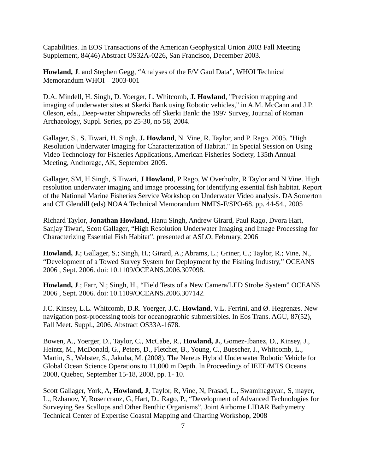Capabilities. In EOS Transactions of the American Geophysical Union 2003 Fall Meeting Supplement, 84(46) Abstract OS32A-0226, San Francisco, December 2003.

**Howland, J**. and Stephen Gegg, "Analyses of the F/V Gaul Data", WHOI Technical Memorandum WHOI – 2003-001

D.A. Mindell, H. Singh, D. Yoerger, L. Whitcomb, **J. Howland**, "Precision mapping and imaging of underwater sites at Skerki Bank using Robotic vehicles," in A.M. McCann and J.P. Oleson, eds., Deep-water Shipwrecks off Skerki Bank: the 1997 Survey, Journal of Roman Archaeology, Suppl. Series, pp 25-30, no 58, 2004.

Gallager, S., S. Tiwari, H. Singh, **J. Howland**, N. Vine, R. Taylor, and P. Rago. 2005. "High Resolution Underwater Imaging for Characterization of Habitat." In Special Session on Using Video Technology for Fisheries Applications, American Fisheries Society, 135th Annual Meeting, Anchorage, AK, September 2005.

Gallager, SM, H Singh, S Tiwari, **J Howland**, P Rago, W Overholtz, R Taylor and N Vine. High resolution underwater imaging and image processing for identifying essential fish habitat. Report of the National Marine Fisheries Service Workshop on Underwater Video analysis. DA Somerton and CT Glendill (eds) NOAA Technical Memorandum NMFS-F/SPO-68. pp. 44-54., 2005

Richard Taylor, **Jonathan Howland**, Hanu Singh, Andrew Girard, Paul Rago, Dvora Hart, Sanjay Tiwari, Scott Gallager, "High Resolution Underwater Imaging and Image Processing for Characterizing Essential Fish Habitat", presented at ASLO, February, 2006

**Howland, J.**; Gallager, S.; Singh, H.; Girard, A.; Abrams, L.; Griner, C.; Taylor, R.; Vine, N., "Development of a Towed Survey System for Deployment by the Fishing Industry," OCEANS 2006 , Sept. 2006. doi: 10.1109/OCEANS.2006.307098.

**Howland, J**.; Farr, N.; Singh, H., "Field Tests of a New Camera/LED Strobe System" OCEANS 2006 , Sept. 2006. doi: 10.1109/OCEANS.2006.307142.

J.C. Kinsey, L.L. Whitcomb, D.R. Yoerger, **J.C. Howland**, V.L. Ferrini, and Ø. Hegrenæs. New navigation post-processing tools for oceanographic submersibles. In Eos Trans. AGU, 87(52), Fall Meet. Suppl., 2006. Abstract OS33A-1678.

Bowen, A., Yoerger, D., Taylor, C., McCabe, R., **Howland, J.**, Gomez-Ibanez, D., Kinsey, J., Heintz, M., McDonald, G., Peters, D., Fletcher, B., Young, C., Buescher, J., Whitcomb, L., Martin, S., Webster, S., Jakuba, M. (2008). The Nereus Hybrid Underwater Robotic Vehicle for Global Ocean Science Operations to 11,000 m Depth. In Proceedings of IEEE/MTS Oceans 2008, Quebec, September 15-18, 2008, pp. 1- 10.

Scott Gallager, York, A, **Howland, J**, Taylor, R, Vine, N, Prasad, L., Swaminagayan, S, mayer, L., Rzhanov, Y, Rosencranz, G, Hart, D., Rago, P., "Development of Advanced Technologies for Surveying Sea Scallops and Other Benthic Organisms", Joint Airborne LIDAR Bathymetry Technical Center of Expertise Coastal Mapping and Charting Workshop, 2008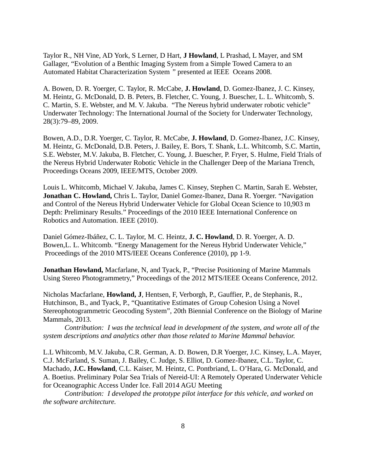Taylor R., NH Vine, AD York, S Lerner, D Hart, **J Howland**, L Prashad, L Mayer, and SM Gallager, "Evolution of a Benthic Imaging System from a Simple Towed Camera to an Automated Habitat Characterization System *"* presented at IEEE Oceans 2008.

A. Bowen, D. R. Yoerger, C. Taylor, R. McCabe, **J. Howland**, D. Gomez-Ibanez, J. C. Kinsey, M. Heintz, G. McDonald, D. B. Peters, B. Fletcher, C. Young, J. Buescher, L. L. Whitcomb, S. C. Martin, S. E. Webster, and M. V. Jakuba. "The Nereus hybrid underwater robotic vehicle" Underwater Technology: The International Journal of the Society for Underwater Technology, 28(3):79–89, 2009.

Bowen, A.D., D.R. Yoerger, C. Taylor, R. McCabe, **J. Howland**, D. Gomez-Ibanez, J.C. Kinsey, M. Heintz, G. McDonald, D.B. Peters, J. Bailey, E. Bors, T. Shank, L.L. Whitcomb, S.C. Martin, S.E. Webster, M.V. Jakuba, B. Fletcher, C. Young, J. Buescher, P. Fryer, S. Hulme, Field Trials of the Nereus Hybrid Underwater Robotic Vehicle in the Challenger Deep of the Mariana Trench, Proceedings Oceans 2009, IEEE/MTS, October 2009.

Louis L. Whitcomb, Michael V. Jakuba, James C. Kinsey, Stephen C. Martin, Sarah E. Webster, **Jonathan C. Howland,** Chris L. Taylor, Daniel Gomez-Ibanez, Dana R. Yoerger. "Navigation and Control of the Nereus Hybrid Underwater Vehicle for Global Ocean Science to 10,903 m Depth: Preliminary Results." Proceedings of the 2010 IEEE International Conference on Robotics and Automation. IEEE (2010).

Daniel Gómez-Ibáñez, C. L. Taylor, M. C. Heintz, **J. C. Howland**, D. R. Yoerger, A. D. Bowen,L. L. Whitcomb. "Energy Management for the Nereus Hybrid Underwater Vehicle," Proceedings of the 2010 MTS/IEEE Oceans Conference (2010), pp 1-9.

**Jonathan Howland,** Macfarlane, N, and Tyack, P., "Precise Positioning of Marine Mammals Using Stereo Photogrammetry," Proceedings of the 2012 MTS/IEEE Oceans Conference, 2012.

Nicholas Macfarlane, **Howland, J**, Hentsen, F, Verborgh, P., Gauffier, P., de Stephanis, R., Hutchinson, B., and Tyack, P., "Quantitative Estimates of Group Cohesion Using a Novel Stereophotogrammetric Geocoding System", 20th Biennial Conference on the Biology of Marine Mammals, 2013.

*Contribution: I was the technical lead in development of the system, and wrote all of the system descriptions and analytics other than those related to Marine Mammal behavior.*

L.L Whitcomb, M.V. Jakuba, C.R. German, A. D. Bowen, D.R Yoerger, J.C. Kinsey, L.A. Mayer, C.J. McFarland, S. Suman, J. Bailey, C. Judge, S. Elliot, D. Gomez-Ibanez, C.L. Taylor, C. Machado, **J.C. Howland**, C.L. Kaiser, M. Heintz, C. Pontbriand, L. O'Hara, G. McDonald, and A. Boetius. Preliminary Polar Sea Trials of Nereid-UI: A Remotely Operated Underwater Vehicle for Oceanographic Access Under Ice. Fall 2014 AGU Meeting

*Contribution: I developed the prototype pilot interface for this vehicle, and worked on the software architecture.*